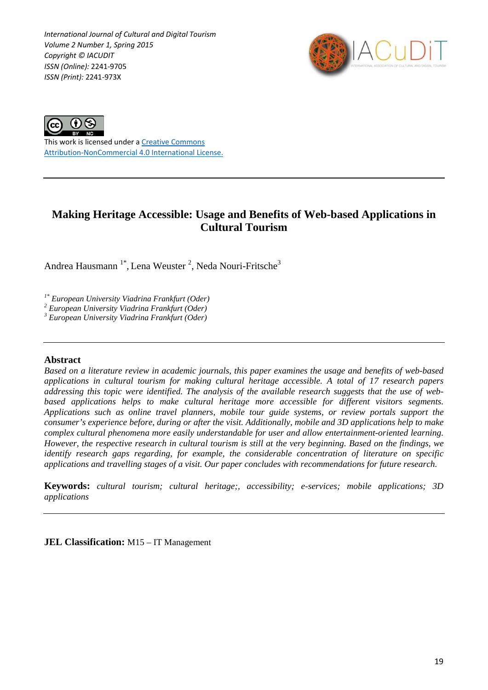*International Journal of Cultural and Digital Tourism Volume 2 Number 1, Spring 2015 Copyright © IACUDIT ISSN (Online):* 2241-9705 *ISSN (Print):* 2241-973X





This work is licensed under a [Creative Commons](http://creativecommons.org/licenses/by-nc/4.0/)  [Attribution-NonCommercial 4.0 International License.](http://creativecommons.org/licenses/by-nc/4.0/)

# **Making Heritage Accessible: Usage and Benefits of Web-based Applications in Cultural Tourism**

Andrea Hausmann<sup>1\*</sup>, Lena Weuster<sup>2</sup>, Neda Nouri-Fritsche<sup>3</sup>

*1\* European University Viadrina Frankfurt (Oder) <sup>2</sup> European University Viadrina Frankfurt (Oder)*

*<sup>3</sup> European University Viadrina Frankfurt (Oder)*

### **Abstract**

*Based on a literature review in academic journals, this paper examines the usage and benefits of web-based applications in cultural tourism for making cultural heritage accessible. A total of 17 research papers addressing this topic were identified. The analysis of the available research suggests that the use of webbased applications helps to make cultural heritage more accessible for different visitors segments. Applications such as online travel planners, mobile tour guide systems, or review portals support the consumer's experience before, during or after the visit. Additionally, mobile and 3D applications help to make complex cultural phenomena more easily understandable for user and allow entertainment-oriented learning. However, the respective research in cultural tourism is still at the very beginning. Based on the findings, we identify research gaps regarding, for example, the considerable concentration of literature on specific applications and travelling stages of a visit. Our paper concludes with recommendations for future research.*

**Keywords:** *cultural tourism; cultural heritage;, accessibility; e-services; mobile applications; 3D applications*

**JEL Classification:** M15 – IT Management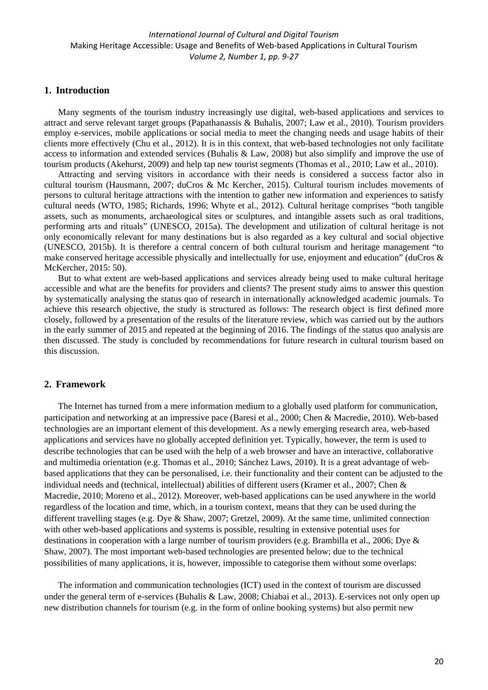### **1. Introduction**

Many segments of the tourism industry increasingly use digital, web-based applications and services to attract and serve relevant target groups (Papathanassis & Buhalis, 2007; Law et al., 2010). Tourism providers employ e-services, mobile applications or social media to meet the changing needs and usage habits of their clients more effectively (Chu et al., 2012). It is in this context, that web-based technologies not only facilitate access to information and extended services (Buhalis & Law, 2008) but also simplify and improve the use of tourism products (Akehurst, 2009) and help tap new tourist segments (Thomas et al., 2010; Law et al., 2010).

Attracting and serving visitors in accordance with their needs is considered a success factor also in cultural tourism (Hausmann, 2007; duCros & Mc Kercher, 2015). Cultural tourism includes movements of persons to cultural heritage attractions with the intention to gather new information and experiences to satisfy cultural needs (WTO, 1985; Richards, 1996; Whyte et al., 2012). Cultural heritage comprises "both tangible assets, such as monuments, archaeological sites or sculptures, and intangible assets such as oral traditions, performing arts and rituals" (UNESCO, 2015a). The development and utilization of cultural heritage is not only economically relevant for many destinations but is also regarded as a key cultural and social objective (UNESCO, 2015b). It is therefore a central concern of both cultural tourism and heritage management "to make conserved heritage accessible physically and intellectually for use, enjoyment and education" (duCros & McKercher, 2015: 50).

But to what extent are web-based applications and services already being used to make cultural heritage accessible and what are the benefits for providers and clients? The present study aims to answer this question by systematically analysing the status quo of research in internationally acknowledged academic journals. To achieve this research objective, the study is structured as follows: The research object is first defined more closely, followed by a presentation of the results of the literature review, which was carried out by the authors in the early summer of 2015 and repeated at the beginning of 2016. The findings of the status quo analysis are then discussed. The study is concluded by recommendations for future research in cultural tourism based on this discussion.

### **2. Framework**

The Internet has turned from a mere information medium to a globally used platform for communication, participation and networking at an impressive pace (Baresi et al., 2000; Chen & Macredie, 2010). Web-based technologies are an important element of this development. As a newly emerging research area, web-based applications and services have no globally accepted definition yet. Typically, however, the term is used to describe technologies that can be used with the help of a web browser and have an interactive, collaborative and multimedia orientation (e.g. Thomas et al., 2010; Sánchez Laws, 2010). It is a great advantage of webbased applications that they can be personalised, i.e. their functionality and their content can be adjusted to the individual needs and (technical, intellectual) abilities of different users (Kramer et al., 2007; Chen & Macredie, 2010; Moreno et al., 2012). Moreover, web-based applications can be used anywhere in the world regardless of the location and time, which, in a tourism context, means that they can be used during the different travelling stages (e.g. Dye & Shaw, 2007; Gretzel, 2009). At the same time, unlimited connection with other web-based applications and systems is possible, resulting in extensive potential uses for destinations in cooperation with a large number of tourism providers (e.g. Brambilla et al., 2006; Dye & Shaw, 2007). The most important web-based technologies are presented below; due to the technical possibilities of many applications, it is, however, impossible to categorise them without some overlaps:

The information and communication technologies (ICT) used in the context of tourism are discussed under the general term of e-services (Buhalis & Law, 2008; Chiabai et al., 2013). E-services not only open up new distribution channels for tourism (e.g. in the form of online booking systems) but also permit new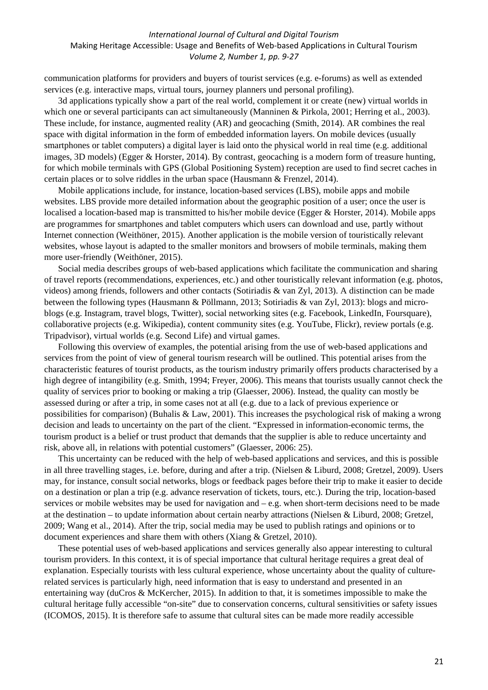communication platforms for providers and buyers of tourist services (e.g. e-forums) as well as extended services (e.g. interactive maps, virtual tours, journey planners und personal profiling).

3d applications typically show a part of the real world, complement it or create (new) virtual worlds in which one or several participants can act simultaneously (Manninen & Pirkola, 2001; Herring et al., 2003). These include, for instance, augmented reality (AR) and geocaching (Smith, 2014). AR combines the real space with digital information in the form of embedded information layers. On mobile devices (usually smartphones or tablet computers) a digital layer is laid onto the physical world in real time (e.g. additional images, 3D models) (Egger & Horster, 2014). By contrast, geocaching is a modern form of treasure hunting, for which mobile terminals with GPS (Global Positioning System) reception are used to find secret caches in certain places or to solve riddles in the urban space (Hausmann & Frenzel, 2014).

Mobile applications include, for instance, location-based services (LBS), mobile apps and mobile websites. LBS provide more detailed information about the geographic position of a user; once the user is localised a location-based map is transmitted to his/her mobile device (Egger & Horster, 2014). Mobile apps are programmes for smartphones and tablet computers which users can download and use, partly without Internet connection (Weithöner, 2015). Another application is the mobile version of touristically relevant websites, whose layout is adapted to the smaller monitors and browsers of mobile terminals, making them more user-friendly (Weithöner, 2015).

Social media describes groups of web-based applications which facilitate the communication and sharing of travel reports (recommendations, experiences, etc.) and other touristically relevant information (e.g. photos, videos) among friends, followers and other contacts (Sotiriadis & van Zyl, 2013). A distinction can be made between the following types (Hausmann & Pöllmann, 2013; Sotiriadis & van Zyl, 2013): blogs and microblogs (e.g. Instagram, travel blogs, Twitter), social networking sites (e.g. Facebook, LinkedIn, Foursquare), collaborative projects (e.g. Wikipedia), content community sites (e.g. YouTube, Flickr), review portals (e.g. Tripadvisor), virtual worlds (e.g. Second Life) and virtual games.

Following this overview of examples, the potential arising from the use of web-based applications and services from the point of view of general tourism research will be outlined. This potential arises from the characteristic features of tourist products, as the tourism industry primarily offers products characterised by a high degree of intangibility (e.g. Smith, 1994; Freyer, 2006). This means that tourists usually cannot check the quality of services prior to booking or making a trip (Glaesser, 2006). Instead, the quality can mostly be assessed during or after a trip, in some cases not at all (e.g. due to a lack of previous experience or possibilities for comparison) (Buhalis & Law, 2001). This increases the psychological risk of making a wrong decision and leads to uncertainty on the part of the client. "Expressed in information-economic terms, the tourism product is a belief or trust product that demands that the supplier is able to reduce uncertainty and risk, above all, in relations with potential customers" (Glaesser, 2006: 25).

This uncertainty can be reduced with the help of web-based applications and services, and this is possible in all three travelling stages, i.e. before, during and after a trip. (Nielsen & Liburd, 2008; Gretzel, 2009). Users may, for instance, consult social networks, blogs or feedback pages before their trip to make it easier to decide on a destination or plan a trip (e.g. advance reservation of tickets, tours, etc.). During the trip, location-based services or mobile websites may be used for navigation and – e.g. when short-term decisions need to be made at the destination – to update information about certain nearby attractions (Nielsen & Liburd, 2008; Gretzel, 2009; Wang et al., 2014). After the trip, social media may be used to publish ratings and opinions or to document experiences and share them with others (Xiang & Gretzel, 2010).

These potential uses of web-based applications and services generally also appear interesting to cultural tourism providers. In this context, it is of special importance that cultural heritage requires a great deal of explanation. Especially tourists with less cultural experience, whose uncertainty about the quality of culturerelated services is particularly high, need information that is easy to understand and presented in an entertaining way (duCros & McKercher, 2015). In addition to that, it is sometimes impossible to make the cultural heritage fully accessible "on-site" due to conservation concerns, cultural sensitivities or safety issues (ICOMOS, 2015). It is therefore safe to assume that cultural sites can be made more readily accessible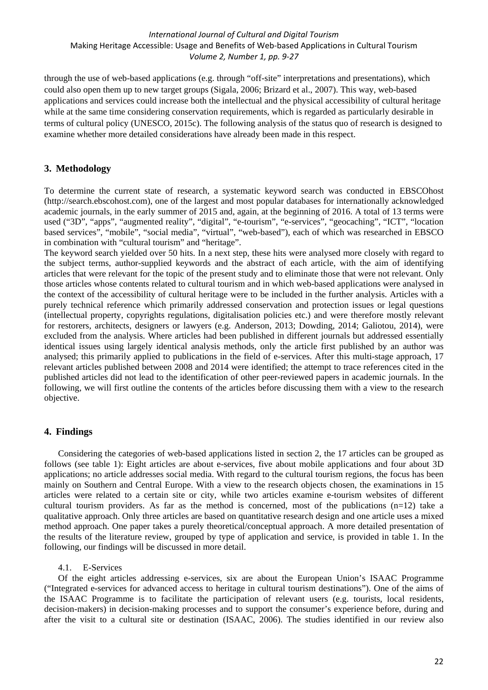through the use of web-based applications (e.g. through "off-site" interpretations and presentations), which could also open them up to new target groups (Sigala, 2006; Brizard et al., 2007). This way, web-based applications and services could increase both the intellectual and the physical accessibility of cultural heritage while at the same time considering conservation requirements, which is regarded as particularly desirable in terms of cultural policy (UNESCO, 2015c). The following analysis of the status quo of research is designed to examine whether more detailed considerations have already been made in this respect.

## **3. Methodology**

To determine the current state of research, a systematic keyword search was conducted in EBSCOhost (http://search.ebscohost.com), one of the largest and most popular databases for internationally acknowledged academic journals, in the early summer of 2015 and, again, at the beginning of 2016. A total of 13 terms were used ("3D", "apps", "augmented reality", "digital", "e-tourism", "e-services", "geocaching", "ICT", "location based services", "mobile", "social media", "virtual", "web-based"), each of which was researched in EBSCO in combination with "cultural tourism" and "heritage".

The keyword search yielded over 50 hits. In a next step, these hits were analysed more closely with regard to the subject terms, author-supplied keywords and the abstract of each article, with the aim of identifying articles that were relevant for the topic of the present study and to eliminate those that were not relevant. Only those articles whose contents related to cultural tourism and in which web-based applications were analysed in the context of the accessibility of cultural heritage were to be included in the further analysis. Articles with a purely technical reference which primarily addressed conservation and protection issues or legal questions (intellectual property, copyrights regulations, digitalisation policies etc.) and were therefore mostly relevant for restorers, architects, designers or lawyers (e.g. Anderson, 2013; Dowding, 2014; Galiotou, 2014), were excluded from the analysis. Where articles had been published in different journals but addressed essentially identical issues using largely identical analysis methods, only the article first published by an author was analysed; this primarily applied to publications in the field of e-services. After this multi-stage approach, 17 relevant articles published between 2008 and 2014 were identified; the attempt to trace references cited in the published articles did not lead to the identification of other peer-reviewed papers in academic journals. In the following, we will first outline the contents of the articles before discussing them with a view to the research objective.

### **4. Findings**

Considering the categories of web-based applications listed in section 2, the 17 articles can be grouped as follows (see table 1): Eight articles are about e-services, five about mobile applications and four about 3D applications; no article addresses social media. With regard to the cultural tourism regions, the focus has been mainly on Southern and Central Europe. With a view to the research objects chosen, the examinations in 15 articles were related to a certain site or city, while two articles examine e-tourism websites of different cultural tourism providers. As far as the method is concerned, most of the publications  $(n=12)$  take a qualitative approach. Only three articles are based on quantitative research design and one article uses a mixed method approach. One paper takes a purely theoretical/conceptual approach. A more detailed presentation of the results of the literature review, grouped by type of application and service, is provided in table 1. In the following, our findings will be discussed in more detail.

4.1. E-Services

Of the eight articles addressing e-services, six are about the European Union's ISAAC Programme ("Integrated e-services for advanced access to heritage in cultural tourism destinations"). One of the aims of the ISAAC Programme is to facilitate the participation of relevant users (e.g. tourists, local residents, decision-makers) in decision-making processes and to support the consumer's experience before, during and after the visit to a cultural site or destination (ISAAC, 2006). The studies identified in our review also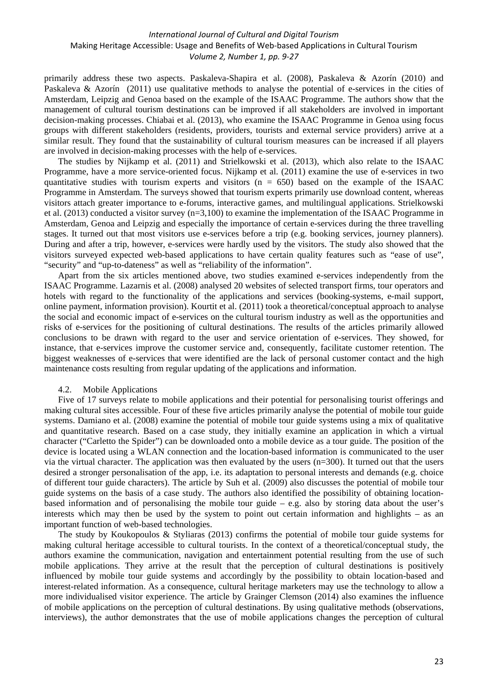primarily address these two aspects. Paskaleva-Shapira et al. (2008), Paskaleva & Azorín (2010) and Paskaleva & Azorín (2011) use qualitative methods to analyse the potential of e-services in the cities of Amsterdam, Leipzig and Genoa based on the example of the ISAAC Programme. The authors show that the management of cultural tourism destinations can be improved if all stakeholders are involved in important decision-making processes. Chiabai et al. (2013), who examine the ISAAC Programme in Genoa using focus groups with different stakeholders (residents, providers, tourists and external service providers) arrive at a similar result. They found that the sustainability of cultural tourism measures can be increased if all players are involved in decision-making processes with the help of e-services.

The studies by Nijkamp et al. (2011) and Strielkowski et al. (2013), which also relate to the ISAAC Programme, have a more service-oriented focus. Nijkamp et al. (2011) examine the use of e-services in two quantitative studies with tourism experts and visitors  $(n = 650)$  based on the example of the ISAAC Programme in Amsterdam. The surveys showed that tourism experts primarily use download content, whereas visitors attach greater importance to e-forums, interactive games, and multilingual applications. Strielkowski et al. (2013) conducted a visitor survey (n=3,100) to examine the implementation of the ISAAC Programme in Amsterdam, Genoa and Leipzig and especially the importance of certain e-services during the three travelling stages. It turned out that most visitors use e-services before a trip (e.g. booking services, journey planners). During and after a trip, however, e-services were hardly used by the visitors. The study also showed that the visitors surveyed expected web-based applications to have certain quality features such as "ease of use", "security" and "up-to-dateness" as well as "reliability of the information".

Apart from the six articles mentioned above, two studies examined e-services independently from the ISAAC Programme. Lazarnis et al. (2008) analysed 20 websites of selected transport firms, tour operators and hotels with regard to the functionality of the applications and services (booking-systems, e-mail support, online payment, information provision). Kourtit et al. (2011) took a theoretical/conceptual approach to analyse the social and economic impact of e-services on the cultural tourism industry as well as the opportunities and risks of e-services for the positioning of cultural destinations. The results of the articles primarily allowed conclusions to be drawn with regard to the user and service orientation of e-services. They showed, for instance, that e-services improve the customer service and, consequently, facilitate customer retention. The biggest weaknesses of e-services that were identified are the lack of personal customer contact and the high maintenance costs resulting from regular updating of the applications and information.

#### 4.2. Mobile Applications

Five of 17 surveys relate to mobile applications and their potential for personalising tourist offerings and making cultural sites accessible. Four of these five articles primarily analyse the potential of mobile tour guide systems. Damiano et al. (2008) examine the potential of mobile tour guide systems using a mix of qualitative and quantitative research. Based on a case study, they initially examine an application in which a virtual character ("Carletto the Spider") can be downloaded onto a mobile device as a tour guide. The position of the device is located using a WLAN connection and the location-based information is communicated to the user via the virtual character. The application was then evaluated by the users  $(n=300)$ . It turned out that the users desired a stronger personalisation of the app, i.e. its adaptation to personal interests and demands (e.g. choice of different tour guide characters). The article by Suh et al. (2009) also discusses the potential of mobile tour guide systems on the basis of a case study. The authors also identified the possibility of obtaining locationbased information and of personalising the mobile tour guide – e.g. also by storing data about the user's interests which may then be used by the system to point out certain information and highlights – as an important function of web-based technologies.

The study by Koukopoulos & Styliaras (2013) confirms the potential of mobile tour guide systems for making cultural heritage accessible to cultural tourists. In the context of a theoretical/conceptual study, the authors examine the communication, navigation and entertainment potential resulting from the use of such mobile applications. They arrive at the result that the perception of cultural destinations is positively influenced by mobile tour guide systems and accordingly by the possibility to obtain location-based and interest-related information. As a consequence, cultural heritage marketers may use the technology to allow a more individualised visitor experience. The article by Grainger Clemson (2014) also examines the influence of mobile applications on the perception of cultural destinations. By using qualitative methods (observations, interviews), the author demonstrates that the use of mobile applications changes the perception of cultural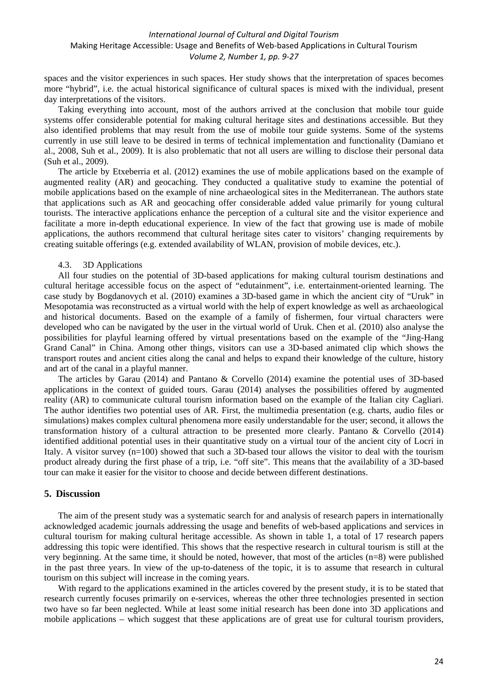spaces and the visitor experiences in such spaces. Her study shows that the interpretation of spaces becomes more "hybrid", i.e. the actual historical significance of cultural spaces is mixed with the individual, present day interpretations of the visitors.

Taking everything into account, most of the authors arrived at the conclusion that mobile tour guide systems offer considerable potential for making cultural heritage sites and destinations accessible. But they also identified problems that may result from the use of mobile tour guide systems. Some of the systems currently in use still leave to be desired in terms of technical implementation and functionality (Damiano et al., 2008, Suh et al., 2009). It is also problematic that not all users are willing to disclose their personal data (Suh et al., 2009).

The article by Etxeberria et al. (2012) examines the use of mobile applications based on the example of augmented reality (AR) and geocaching. They conducted a qualitative study to examine the potential of mobile applications based on the example of nine archaeological sites in the Mediterranean. The authors state that applications such as AR and geocaching offer considerable added value primarily for young cultural tourists. The interactive applications enhance the perception of a cultural site and the visitor experience and facilitate a more in-depth educational experience. In view of the fact that growing use is made of mobile applications, the authors recommend that cultural heritage sites cater to visitors' changing requirements by creating suitable offerings (e.g. extended availability of WLAN, provision of mobile devices, etc.).

#### 4.3. 3D Applications

All four studies on the potential of 3D-based applications for making cultural tourism destinations and cultural heritage accessible focus on the aspect of "edutainment", i.e. entertainment-oriented learning. The case study by Bogdanovych et al. (2010) examines a 3D-based game in which the ancient city of "Uruk" in Mesopotamia was reconstructed as a virtual world with the help of expert knowledge as well as archaeological and historical documents. Based on the example of a family of fishermen, four virtual characters were developed who can be navigated by the user in the virtual world of Uruk. Chen et al. (2010) also analyse the possibilities for playful learning offered by virtual presentations based on the example of the "Jing-Hang Grand Canal" in China. Among other things, visitors can use a 3D-based animated clip which shows the transport routes and ancient cities along the canal and helps to expand their knowledge of the culture, history and art of the canal in a playful manner.

The articles by Garau (2014) and Pantano & Corvello (2014) examine the potential uses of 3D-based applications in the context of guided tours. Garau (2014) analyses the possibilities offered by augmented reality (AR) to communicate cultural tourism information based on the example of the Italian city Cagliari. The author identifies two potential uses of AR. First, the multimedia presentation (e.g. charts, audio files or simulations) makes complex cultural phenomena more easily understandable for the user; second, it allows the transformation history of a cultural attraction to be presented more clearly. Pantano & Corvello (2014) identified additional potential uses in their quantitative study on a virtual tour of the ancient city of Locri in Italy. A visitor survey (n=100) showed that such a 3D-based tour allows the visitor to deal with the tourism product already during the first phase of a trip, i.e. "off site". This means that the availability of a 3D-based tour can make it easier for the visitor to choose and decide between different destinations.

#### **5. Discussion**

The aim of the present study was a systematic search for and analysis of research papers in internationally acknowledged academic journals addressing the usage and benefits of web-based applications and services in cultural tourism for making cultural heritage accessible. As shown in table 1, a total of 17 research papers addressing this topic were identified. This shows that the respective research in cultural tourism is still at the very beginning. At the same time, it should be noted, however, that most of the articles (n=8) were published in the past three years. In view of the up-to-dateness of the topic, it is to assume that research in cultural tourism on this subject will increase in the coming years.

With regard to the applications examined in the articles covered by the present study, it is to be stated that research currently focuses primarily on e-services, whereas the other three technologies presented in section two have so far been neglected. While at least some initial research has been done into 3D applications and mobile applications – which suggest that these applications are of great use for cultural tourism providers,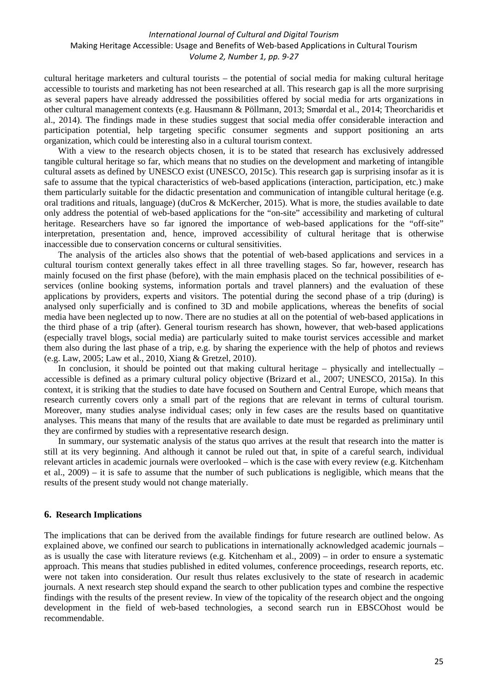cultural heritage marketers and cultural tourists – the potential of social media for making cultural heritage accessible to tourists and marketing has not been researched at all. This research gap is all the more surprising as several papers have already addressed the possibilities offered by social media for arts organizations in other cultural management contexts (e.g. Hausmann & Pöllmann, 2013; Smørdal et al., 2014; Theorcharidis et al., 2014). The findings made in these studies suggest that social media offer considerable interaction and participation potential, help targeting specific consumer segments and support positioning an arts organization, which could be interesting also in a cultural tourism context.

With a view to the research objects chosen, it is to be stated that research has exclusively addressed tangible cultural heritage so far, which means that no studies on the development and marketing of intangible cultural assets as defined by UNESCO exist (UNESCO, 2015c). This research gap is surprising insofar as it is safe to assume that the typical characteristics of web-based applications (interaction, participation, etc.) make them particularly suitable for the didactic presentation and communication of intangible cultural heritage (e.g. oral traditions and rituals, language) (duCros & McKercher, 2015). What is more, the studies available to date only address the potential of web-based applications for the "on-site" accessibility and marketing of cultural heritage. Researchers have so far ignored the importance of web-based applications for the "off-site" interpretation, presentation and, hence, improved accessibility of cultural heritage that is otherwise inaccessible due to conservation concerns or cultural sensitivities.

The analysis of the articles also shows that the potential of web-based applications and services in a cultural tourism context generally takes effect in all three travelling stages. So far, however, research has mainly focused on the first phase (before), with the main emphasis placed on the technical possibilities of eservices (online booking systems, information portals and travel planners) and the evaluation of these applications by providers, experts and visitors. The potential during the second phase of a trip (during) is analysed only superficially and is confined to 3D and mobile applications, whereas the benefits of social media have been neglected up to now. There are no studies at all on the potential of web-based applications in the third phase of a trip (after). General tourism research has shown, however, that web-based applications (especially travel blogs, social media) are particularly suited to make tourist services accessible and market them also during the last phase of a trip, e.g. by sharing the experience with the help of photos and reviews (e.g. Law, 2005; Law et al., 2010, Xiang & Gretzel, 2010).

In conclusion, it should be pointed out that making cultural heritage – physically and intellectually – accessible is defined as a primary cultural policy objective (Brizard et al., 2007; UNESCO, 2015a). In this context, it is striking that the studies to date have focused on Southern and Central Europe, which means that research currently covers only a small part of the regions that are relevant in terms of cultural tourism. Moreover, many studies analyse individual cases; only in few cases are the results based on quantitative analyses. This means that many of the results that are available to date must be regarded as preliminary until they are confirmed by studies with a representative research design.

In summary, our systematic analysis of the status quo arrives at the result that research into the matter is still at its very beginning. And although it cannot be ruled out that, in spite of a careful search, individual relevant articles in academic journals were overlooked – which is the case with every review (e.g. Kitchenham et al., 2009) – it is safe to assume that the number of such publications is negligible, which means that the results of the present study would not change materially.

#### **6. Research Implications**

The implications that can be derived from the available findings for future research are outlined below. As explained above, we confined our search to publications in internationally acknowledged academic journals – as is usually the case with literature reviews (e.g. Kitchenham et al., 2009) – in order to ensure a systematic approach. This means that studies published in edited volumes, conference proceedings, research reports, etc. were not taken into consideration. Our result thus relates exclusively to the state of research in academic journals. A next research step should expand the search to other publication types and combine the respective findings with the results of the present review. In view of the topicality of the research object and the ongoing development in the field of web-based technologies, a second search run in EBSCOhost would be recommendable.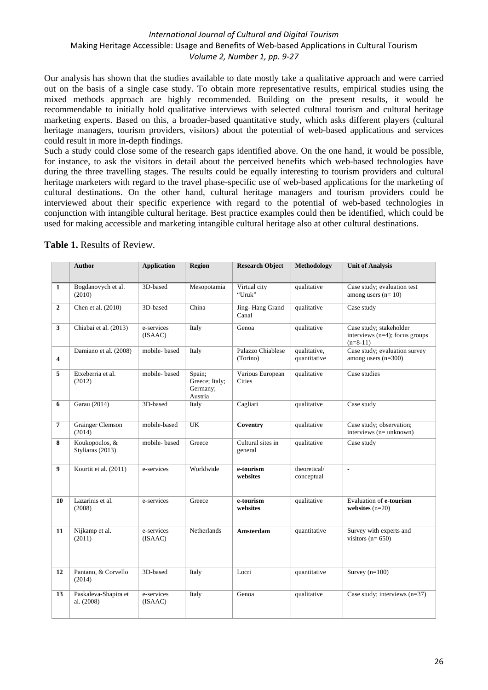Our analysis has shown that the studies available to date mostly take a qualitative approach and were carried out on the basis of a single case study. To obtain more representative results, empirical studies using the mixed methods approach are highly recommended. Building on the present results, it would be recommendable to initially hold qualitative interviews with selected cultural tourism and cultural heritage marketing experts. Based on this, a broader-based quantitative study, which asks different players (cultural heritage managers, tourism providers, visitors) about the potential of web-based applications and services could result in more in-depth findings.

Such a study could close some of the research gaps identified above. On the one hand, it would be possible, for instance, to ask the visitors in detail about the perceived benefits which web-based technologies have during the three travelling stages. The results could be equally interesting to tourism providers and cultural heritage marketers with regard to the travel phase-specific use of web-based applications for the marketing of cultural destinations. On the other hand, cultural heritage managers and tourism providers could be interviewed about their specific experience with regard to the potential of web-based technologies in conjunction with intangible cultural heritage. Best practice examples could then be identified, which could be used for making accessible and marketing intangible cultural heritage also at other cultural destinations.

|                | <b>Author</b>                      | <b>Application</b>    | Region                                          | <b>Research Object</b>            | Methodology                  | <b>Unit of Analysis</b>                                                 |
|----------------|------------------------------------|-----------------------|-------------------------------------------------|-----------------------------------|------------------------------|-------------------------------------------------------------------------|
| 1              | Bogdanovych et al.<br>(2010)       | 3D-based              | Mesopotamia                                     | Virtual city<br>"Uruk"            | qualitative                  | Case study; evaluation test<br>among users $(n=10)$                     |
| $\mathbf{2}$   | Chen et al. (2010)                 | 3D-based              | China                                           | Jing-Hang Grand<br>Canal          | qualitative                  | Case study                                                              |
| $\mathbf{3}$   | Chiabai et al. (2013)              | e-services<br>(ISAAC) | Italy                                           | Genoa                             | qualitative                  | Case study; stakeholder<br>interviews (n=4); focus groups<br>$(n=8-11)$ |
| 4              | Damiano et al. (2008)              | mobile-based          | Italy                                           | Palazzo Chiablese<br>(Torino)     | qualitative,<br>quantitative | Case study; evaluation survey<br>among users $(n=300)$                  |
| 5              | Etxeberria et al.<br>(2012)        | mobile-based          | Spain;<br>Greece; Italy;<br>Germany;<br>Austria | Various European<br><b>Cities</b> | qualitative                  | Case studies                                                            |
| 6              | Garau (2014)                       | 3D-based              | Italy                                           | Cagliari                          | qualitative                  | Case study                                                              |
| $\overline{7}$ | <b>Grainger Clemson</b><br>(2014)  | mobile-based          | UK                                              | Coventry                          | qualitative                  | Case study; observation;<br>interviews (n= unknown)                     |
| 8              | Koukopoulos, &<br>Styliaras (2013) | mobile-based          | Greece                                          | Cultural sites in<br>general      | qualitative                  | Case study                                                              |
| 9              | Kourtit et al. (2011)              | e-services            | Worldwide                                       | $e$ -tourism<br>websites          | theoretical/<br>conceptual   | $\overline{\phantom{a}}$                                                |
| 10             | Lazarinis et al.<br>(2008)         | e-services            | Greece                                          | e-tourism<br>websites             | qualitative                  | Evaluation of e-tourism<br>websites $(n=20)$                            |
| 11             | Nijkamp et al.<br>(2011)           | e-services<br>(ISAAC) | <b>Netherlands</b>                              | <b>Amsterdam</b>                  | quantitative                 | Survey with experts and<br>visitors ( $n=650$ )                         |
| 12             | Pantano, & Corvello<br>(2014)      | 3D-based              | Italy                                           | Locri                             | quantitative                 | Survey $(n=100)$                                                        |
| 13             | Paskaleva-Shapira et<br>al. (2008) | e-services<br>(ISAAC) | Italy                                           | Genoa                             | qualitative                  | Case study; interviews $(n=37)$                                         |

**Table 1.** Results of Review.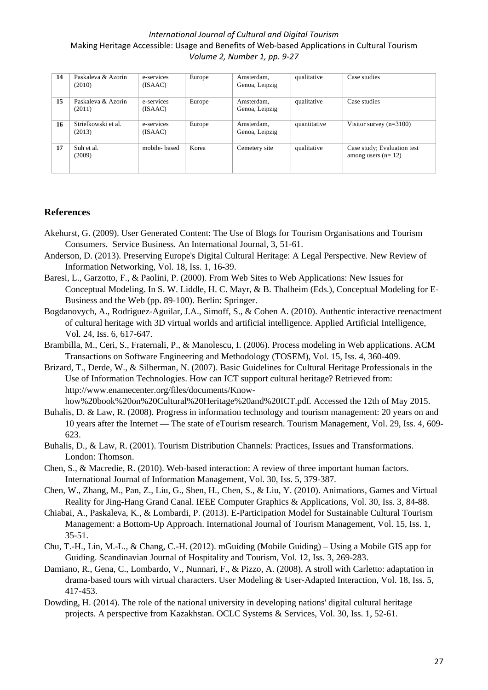| 14 | Paskaleva & Azorín<br>(2010)  | e-services<br>(ISAAC) | Europe | Amsterdam,<br>Genoa, Leipzig | qualitative  | Case studies                                        |
|----|-------------------------------|-----------------------|--------|------------------------------|--------------|-----------------------------------------------------|
| 15 | Paskaleva & Azorín<br>(2011)  | e-services<br>(ISAAC) | Europe | Amsterdam,<br>Genoa, Leipzig | qualitative  | Case studies                                        |
| 16 | Strielkowski et al.<br>(2013) | e-services<br>(ISAAC) | Europe | Amsterdam,<br>Genoa, Leipzig | quantitative | Visitor survey $(n=3100)$                           |
| 17 | Suh et al.<br>(2009)          | mobile-based          | Korea  | Cemetery site                | qualitative  | Case study; Evaluation test<br>among users $(n=12)$ |

## **References**

- Akehurst, G. (2009). User Generated Content: The Use of Blogs for Tourism Organisations and Tourism Consumers. Service Business. An International Journal, 3, 51-61.
- Anderson, D. (2013). Preserving Europe's Digital Cultural Heritage: A Legal Perspective. New Review of Information Networking, Vol. 18, Iss. 1, 16-39.
- Baresi, L., Garzotto, F., & Paolini, P. (2000). From Web Sites to Web Applications: New Issues for Conceptual Modeling. In S. W. Liddle, H. C. Mayr, & B. Thalheim (Eds.), Conceptual Modeling for E-Business and the Web (pp. 89-100). Berlin: Springer.
- Bogdanovych, A., Rodriguez-Aguilar, J.A., Simoff, S., & Cohen A. (2010). Authentic interactive reenactment of cultural heritage with 3D virtual worlds and artificial intelligence. Applied Artificial Intelligence, Vol. 24, Iss. 6, 617-647.
- Brambilla, M., Ceri, S., Fraternali, P., & Manolescu, I. (2006). Process modeling in Web applications. ACM Transactions on Software Engineering and Methodology (TOSEM), Vol. 15, Iss. 4, 360-409.
- Brizard, T., Derde, W., & Silberman, N. (2007). Basic Guidelines for Cultural Heritage Professionals in the Use of Information Technologies. How can ICT support cultural heritage? Retrieved from: http://www.enamecenter.org/files/documents/Know-
- how%20book%20on%20Cultural%20Heritage%20and%20ICT.pdf. Accessed the 12th of May 2015. Buhalis, D. & Law, R. (2008). Progress in information technology and tourism management: 20 years on and 10 years after the Internet — The state of eTourism research. Tourism Management, Vol. 29, Iss. 4, 609-
- 623. Buhalis, D., & Law, R. (2001). Tourism Distribution Channels: Practices, Issues and Transformations. London: Thomson.
- Chen, S., & Macredie, R. (2010). Web-based interaction: A review of three important human factors. International Journal of Information Management, Vol. 30, Iss. 5, 379-387.
- Chen, W., Zhang, M., Pan, Z., Liu, G., Shen, H., Chen, S., & Liu, Y. (2010). Animations, Games and Virtual Reality for Jing-Hang Grand Canal. IEEE Computer Graphics & Applications, Vol. 30, Iss. 3, 84-88.
- Chiabai, A., Paskaleva, K., & Lombardi, P. (2013). E-Participation Model for Sustainable Cultural Tourism Management: a Bottom-Up Approach. International Journal of Tourism Management, Vol. 15, Iss. 1, 35-51.
- Chu, T.-H., Lin, M.-L., & Chang, C.-H. (2012). mGuiding (Mobile Guiding) Using a Mobile GIS app for Guiding. Scandinavian Journal of Hospitality and Tourism, Vol. 12, Iss. 3, 269-283.
- Damiano, R., Gena, C., Lombardo, V., Nunnari, F., & Pizzo, A. (2008). A stroll with Carletto: adaptation in drama-based tours with virtual characters. User Modeling & User-Adapted Interaction, Vol. 18, Iss. 5, 417-453.
- Dowding, H. (2014). The role of the national university in developing nations' digital cultural heritage projects. A perspective from Kazakhstan. OCLC Systems & Services, Vol. 30, Iss. 1, 52-61.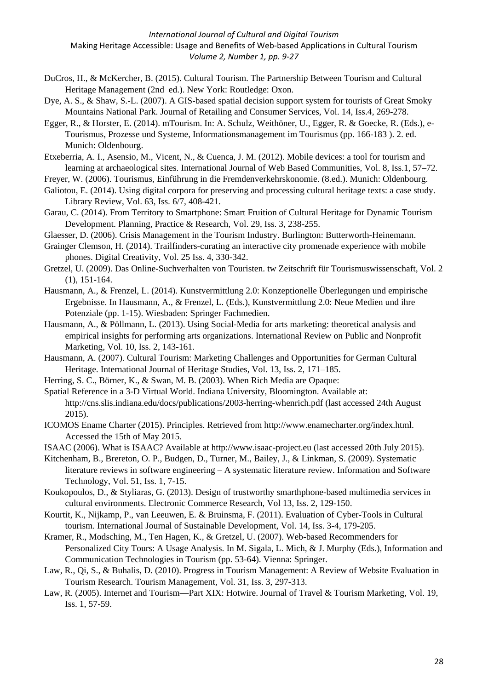- DuCros, H., & McKercher, B. (2015). Cultural Tourism. The Partnership Between Tourism and Cultural Heritage Management (2nd ed.). New York: Routledge: Oxon.
- Dye, A. S., & Shaw, S.-L. (2007). A GIS-based spatial decision support system for tourists of Great Smoky Mountains National Park. Journal of Retailing and Consumer Services, Vol. 14, Iss.4, 269-278.
- Egger, R., & Horster, E. (2014). mTourism. In: A. Schulz, Weithöner, U., Egger, R. & Goecke, R. (Eds.), e-Tourismus, Prozesse und Systeme, Informationsmanagement im Tourismus (pp. 166-183 ). 2. ed. Munich: Oldenbourg.
- Etxeberria, A. I., Asensio, M., Vicent, N., & Cuenca, J. M. (2012). Mobile devices: a tool for tourism and learning at archaeological sites. International Journal of Web Based Communities, Vol. 8, Iss.1, 57–72.
- Freyer, W. (2006). Tourismus, Einführung in die Fremdenverkehrskonomie. (8.ed.). Munich: Oldenbourg.
- Galiotou, E. (2014). Using digital corpora for preserving and processing cultural heritage texts: a case study. Library Review, Vol. 63, Iss. 6/7, 408-421.
- Garau, C. (2014). From Territory to Smartphone: Smart Fruition of Cultural Heritage for Dynamic Tourism Development. Planning, Practice & Research, Vol. 29, Iss. 3, 238-255.
- Glaesser, D. (2006). Crisis Management in the Tourism Industry. Burlington: Butterworth-Heinemann.
- Grainger Clemson, H. (2014). Trailfinders-curating an interactive city promenade experience with mobile phones. Digital Creativity, Vol. 25 Iss. 4, 330-342.
- Gretzel, U. (2009). Das Online-Suchverhalten von Touristen. tw Zeitschrift für Tourismuswissenschaft, Vol. 2 (1), 151-164.
- Hausmann, A., & Frenzel, L. (2014). Kunstvermittlung 2.0: Konzeptionelle Überlegungen und empirische Ergebnisse. In Hausmann, A., & Frenzel, L. (Eds.), Kunstvermittlung 2.0: Neue Medien und ihre Potenziale (pp. 1-15). Wiesbaden: Springer Fachmedien.
- Hausmann, A., & Pöllmann, L. (2013). Using Social-Media for arts marketing: theoretical analysis and empirical insights for performing arts organizations. International Review on Public and Nonprofit Marketing, Vol. 10, Iss. 2, 143-161.
- Hausmann, A. (2007). Cultural Tourism: Marketing Challenges and Opportunities for German Cultural Heritage. International Journal of Heritage Studies, Vol. 13, Iss. 2, 171–185.
- Herring, S. C., Börner, K., & Swan, M. B. (2003). When Rich Media are Opaque:
- Spatial Reference in a 3-D Virtual World. Indiana University, Bloomington. Available at: <http://cns.slis.indiana.edu/docs/publications/2003-herring-whenrich.pdf> (last accessed 24th August 2015).
- ICOMOS Ename Charter (2015). Principles. Retrieved from http://www.enamecharter.org/index.html. Accessed the 15th of May 2015.
- ISAAC (2006). What is ISAAC? Available at http://www.isaac-project.eu (last accessed 20th July 2015).
- Kitchenham, B., Brereton, O. P., Budgen, D., Turner, M., Bailey, J., & Linkman, S. (2009). Systematic literature reviews in software engineering – A systematic literature review. Information and Software Technology, Vol. 51, Iss. 1, 7-15.
- Koukopoulos, D., & Styliaras, G. (2013). Design of trustworthy smarthphone-based multimedia services in cultural environments. Electronic Commerce Research, Vol 13, Iss. 2, 129-150.
- Kourtit, K., Nijkamp, P., van Leeuwen, E. & Bruinsma, F. (2011). Evaluation of Cyber-Tools in Cultural tourism. International Journal of Sustainable Development, Vol. 14, Iss. 3-4, 179-205.
- Kramer, R., Modsching, M., Ten Hagen, K., & Gretzel, U. (2007). Web-based Recommenders for Personalized City Tours: A Usage Analysis. In M. Sigala, L. Mich, & J. Murphy (Eds.), Information and Communication Technologies in Tourism (pp. 53-64). Vienna: Springer.
- Law, R., Qi, S., & Buhalis, D. (2010). Progress in Tourism Management: A Review of Website Evaluation in Tourism Research. Tourism Management, Vol. 31, Iss. 3, 297-313.
- Law, R. (2005). Internet and Tourism—Part XIX: Hotwire. Journal of Travel & Tourism Marketing, Vol. 19, Iss. 1, 57-59.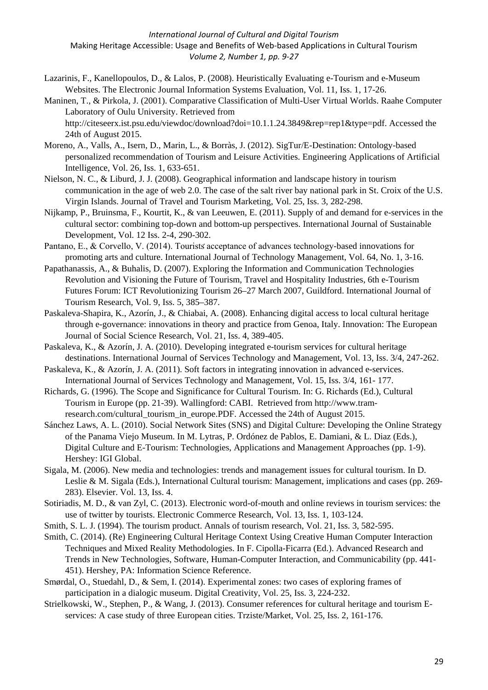- Lazarinis, F., Kanellopoulos, D., & Lalos, P. (2008). Heuristically Evaluating e-Tourism and e-Museum Websites. The Electronic Journal Information Systems Evaluation, Vol. 11, Iss. 1, 17-26.
- Maninen, T., & Pirkola, J. (2001). Comparative Classification of Multi-User Virtual Worlds. Raahe Computer Laboratory of Oulu University. Retrieved from [http://citeseerx.ist.psu.edu/viewdoc/download?doi=10.1.1.24.3849&rep=rep1&type=pdf.](http://citeseerx.ist.psu.edu/viewdoc/download?doi=10.1.1.24.3849&rep=rep1&type=pdf) Accessed the 24th of August 2015.
- Moreno, A., Valls, A., Isern, D., Marin, L., & Borràs, J. (2012). SigTur/E-Destination: Ontology-based personalized recommendation of Tourism and Leisure Activities. Engineering Applications of Artificial Intelligence, Vol. 26, Iss. 1, 633-651.
- Nielson, N. C., & Liburd, J. J. (2008). Geographical information and landscape history in tourism communication in the age of web 2.0. The case of the salt river bay national park in St. Croix of the U.S. Virgin Islands. Journal of Travel and Tourism Marketing, Vol. 25, Iss. 3, 282-298.
- Nijkamp, P., Bruinsma, F., Kourtit, K., & van Leeuwen, E. (2011). Supply of and demand for e-services in the cultural sector: combining top-down and bottom-up perspectives. [International Journal of Sustainable](javascript:__doLinkPostBack()  [Development,](javascript:__doLinkPostBack() Vol. 12 Iss. 2-4, 290-302.
- Pantano, E., & Corvello, V. (2014). Tourists acceptance of advances technology-based innovations for promoting arts and culture. International Journal of Technology Management, Vol. 64, No. 1, 3-16.
- Papathanassis, A., & Buhalis, D. (2007). Exploring the Information and Communication Technologies Revolution and Visioning the Future of Tourism, Travel and Hospitality Industries, 6th e-Tourism Futures Forum: ICT Revolutionizing Tourism 26–27 March 2007, Guildford. International Journal of Tourism Research, Vol. 9, Iss. 5, 385–387.
- Paskaleva-Shapira, K., Azorín, J., & Chiabai, A. (2008). Enhancing digital access to local cultural heritage through e-governance: innovations in theory and practice from Genoa, Italy. Innovation: The European Journal of Social Science Research, Vol. 21, Iss. 4, 389-405.
- Paskaleva, K., & Azorín, J. A. (2010). Developing integrated e-tourism services for cultural heritage destinations. International Journal of Services Technology and Management, Vol. 13, Iss. 3/4, 247-262.
- Paskaleva, K., & Azorín, J. A. (2011). Soft factors in integrating innovation in advanced e-services. International Journal of Services Technology and Management, Vol. 15, Iss. 3/4, 161- 177.
- Richards, G. (1996). The Scope and Significance for Cultural Tourism. In: G. Richards (Ed.), Cultural Tourism in Europe (pp. 21-39). Wallingford: CABI. Retrieved from http://www.tramresearch.com/cultural\_tourism\_in\_europe.PDF. Accessed the 24th of August 2015.
- Sánchez Laws, A. L. (2010). Social Network Sites (SNS) and Digital Culture: Developing the Online Strategy of the Panama Viejo Museum. In M. Lytras, P. Ordónez de Pablos, E. Damiani, & L. Diaz (Eds.), Digital Culture and E-Tourism: Technologies, Applications and Management Approaches (pp. 1-9). Hershey: IGI Global.
- Sigala, M. (2006). New media and technologies: trends and management issues for cultural tourism. In D. Leslie & M. Sigala (Eds.), International Cultural tourism: Management, implications and cases (pp. 269- 283). Elsevier. Vol. 13, Iss. 4.
- Sotiriadis, M. D., & van Zyl, C. (2013). Electronic word-of-mouth and online reviews in tourism services: the use of twitter by tourists. Electronic Commerce Research, Vol. 13, Iss. 1, 103-124.
- Smith, S. L. J. (1994). The tourism product. Annals of tourism research, Vol. 21, Iss. 3, 582-595.
- Smith, C. (2014). (Re) Engineering Cultural Heritage Context Using Creative Human Computer Interaction Techniques and Mixed Reality Methodologies. In F. Cipolla-Ficarra (Ed.). Advanced Research and Trends in New Technologies, Software, Human-Computer Interaction, and Communicability (pp. 441- 451). Hershey, PA: Information Science Reference.
- Smørdal, O., Stuedahl, D., & Sem, I. (2014). Experimental zones: two cases of exploring frames of participation in a dialogic museum. Digital Creativity, Vol. 25, Iss. 3, 224-232.
- Strielkowski, W., Stephen, P., & Wang, J. (2013). Consumer references for cultural heritage and tourism Eservices: A case study of three European cities. Trziste/Market, Vol. 25, Iss. 2, 161-176.